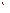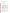| <b>AGENCY:</b>                                                                 | ENVIRONMENTAL PROTECTION AGENCY (EPA)              |
|--------------------------------------------------------------------------------|----------------------------------------------------|
| TITLE:                                                                         | "Engineering Excellence Through Hybrid Technology" |
| <b>ACTION:</b>                                                                 | Request for Applications (RFA)                     |
| <b>RFA:</b>                                                                    | EPA-OAR-OTAQ-08-09                                 |
| <b>CFDA:</b>                                                                   | 66.034                                             |
| <b>SUMMARY:</b> Formal Agency responses to questions regarding the subject RFA |                                                    |

**DATE:** December 1, 2008

## *Q1:* **Can you tell me if this application is open to 'for profit' entities?**

**A1:** No. For Profit entities are not eligible. In accordance with CFDA 66.034, applications will be accepted from states, local governments, territories, Indian Tribes, and possessions of the U.S., including the District of Columbia, international organizations, public and private universities and colleges, hospitals, laboratories, other public or private nonprofit institutions.

Non-profit organization, as defined by OMB Circular A-122, means any corporation, trust, association, cooperative, or other organization which: (1) is operated primarily for scientific, educational, service, charitable, or similar purposes in the public interest; (2) is not organized primarily for profit; and (3) uses its net proceeds to maintain, improve, and/or expand its operations. For this purpose, the term "non-profit organization" excludes (i) colleges and universities; (ii) hospitals; (iii) state, local, and federallyrecognized Indian tribal governments; and (iv) those non-profit organizations which are excluded from coverage of this Circular in accordance with paragraph 5 of the Circular.

Non-profit organizations described in Section  $501(c)(4)$  of the Internal Revenue Code that engage in lobbying activities as defined in Section 3 of the Lobbying Disclosure Act of 1995 are not eligible to apply.

Non-profit organizations that are eligible and wish to apply should follow instructions as indicated in the RFA.

#### *Q2. Would we need to partner with a non-profit entity like a university?*  If we need to partner with a non-profit entity, does the non-profit entity need to submit *the application or can a "For Profit" submit the application?*

**A2.** An application submitted by a "For Profit" entity would be ineligible. It is up to applicants (ie: For Profit companies) to determine how to qualify as an eligible entity for this RFA.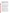*Q3: I have recently filed patents for advanced engines which, among other things, should be the most thermodynamically efficient engines ever constructed, once prototypes are constructed and proof of principle is established at the level of physical demonstration. Both patents describe compound cycle continuous combustion engines, tightly integrating the Brayton and Rankine cycles. The patents are alike in that both engines are readily configurable as turbogenerators. The patents differ in that one of the engines described is statorless.* 

#### *Do such inventions fall within the eligibility requirement of the above referenced solicitation?*

A3: No. Per the RFA's Threshold Eligibility Criteria, you "must address in the narrative proposal one or more of the project categories listed in Part 2 of Section I, Scope of Work of this announcement". Proposals must include all the narrative proposal requirements as stated in the RFA.

In addition, be aware that, per the RFA Threshold Eligibility Criteria, you "must address in [your] narrative proposals a plan for establishing a merit-based selection criteria for identifying qualified graduate students to pursue research in these areas." This graduate student research component is a fundamental part of the RFA, and is covered in Part 1 of Section I (Scope of Work) of the announcement: "EPA's CAT program is interested in partnership(s) with one or more eligible entities to expand the fundamental scientific\engineering understanding and increase the undergraduate and graduate engineering human capital in areas of interest to the program. The partnership(s) will support outstanding graduate students performing studies and research..."

Finally, also be aware that, per the CFDA 66.034 (cited in the RFA in part III A, "Eligible Entities"), "this activity will support surveys, studies, research, and/or investigations or demonstrations, performed by concerned, national, non-profit organizations."

## *Q4: The term Hydraulic Hybrid Vehicle (HHV) is repeatedly mentioned in the RFA. We understand these words separately, but we have some difficulty visualizing the technology that EPA refers to when the two words are combined. Please clarify the term "Hydraulic Hybrid Vehicle (HHV)"?*

**A4**: Hydraulic hybrid technology uses a hydraulic energy storage and propulsion system in the vehicle. This hydraulic system captures and stores a large fraction of the energy normally wasted in vehicle braking and uses this energy to help propel the vehicle during the next vehicle acceleration. The hydraulic system also enables the engine to operate more efficiently when it is needed.

Hydraulic hybrids draw from two sources of power to operate the vehicle - the diesel or gasoline engine and the hydraulic components. In other words, a typical diesel-powered or gasoline powered vehicle can be fitted with hydraulic components as a secondary energy storage system. The primary hydraulic components are two hydraulic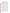accumulator vessels (a high-pressure accumulator capable of storing hydraulic fluid compressing inert nitrogen gas and a low-pressure accumulator) and one or more hydraulic pump/motor units.

**Benefits of Hydraulic Technology:** Hydraulic drivetrains are particularly attractive for vehicle applications that entail a significant amount of stop-and-go driving, such as urban delivery trucks or school buses. A major benefit of a hydraulic hybrid vehicle is the ability to capture and use a large percentage of the energy normally lost in vehicle braking. Hydraulic hybrids can quickly and efficiently store and release great amounts of energy due to a higher power density. This is a critical factor in maximizing braking energy recovered and increasing the fuel economy benefit. While the primary benefit of hydraulics is higher fuel economy, hydraulics also increase vehicle acceleration performance. Hydraulic hybrid technology cost-effectively allows the engine speed or torque to be independent of vehicle speed resulting in cleaner and more efficient engine operation.

## *Q5: My question relates to the scope of the technologies acceptable for this program. On page two (2) of the RFA in the Project Details section, paragraph 1, states:*

*The partnership(s) will support outstanding graduate students performing studies and research in the fields of: (1) advanced/cost effective HHV technologies, (2) advanced lean, ultra-efficient and cost effective engine/systems, (3) cost effective and clean, renewable (or lower greenhouse gas (GHG) alternative) transportation fuels, in order to identify barriers to technological innovation and analyze innovative strategies to overcome these barriers.* 

This appears to imply that items  $1 - 3$  represent three alternative fields and therefore they are not three mandatory requirements. Our project partner has a technology that meets the goals of items 2 and 3 above, and which has the potential to make green technology widely available at moderate cost. I am seeking guidance as to whether or not the program will accept proposals that do not directly involve hydraulic energy storage.

**A5:** We will accept proposals that do not directly involve hydraulic energy storage.

However, the context of this RFA is a collaboration with EPA to further optimize Hydraulic Hybrid Vehicle (HHV) technology. With that being the case, note that the first Evaluation Criterion (Section V Part A) states in part that an evaluation factor will be "the extent and quality to which the narrative proposal includes a well-conceived strategy for project collaboration with EPA to further optimize Hydraulic Hybrid Vehicle (HHV) technology ." Thus, although investigations directly involving hydraulic energy storage are not required, you should explain how your proposed investigations would further optimize HHV technology.

Also, be aware that one of the Threshold Eligibility Criteria (in Section III Part C) states that "Applications must address in their narrative proposals one or more of the project categories listed in Part 2 of Section I, Scope of Work of this announcement."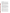# *Q6: Are exceptional undergraduate students eligible for the NVFEL on-site research activity described in the grant?*

**A6.** No, undergraduate students are not eligible. As stated in the RFA, only a selection criteria for exceptional graduate students will be accepted. In section III, Threshold Eligibility Criteria, the application is required to address a narrative proposal for establishing a "merit-based selection criteria" for identifying qualified **"graduate"** students to pursue research in these areas. The graduate student research component is a fundamental part of the RFA, and is covered in Part 1 of Section I (Scope of Work) of the announcement: "EPA's CAT program is interested in partnership(s) with one or more eligible entities to expand the fundamental scientific\engineering understanding and increase the undergraduate and graduate engineering human capital in areas of interest to the program. The partnership(s) will support outstanding graduate students performing studies and research..."

# *Q7: The grant describes "extended time periods" for the on-site research activity; can you help us to understand what time periods will be anticipated?*

**A7.** As stated in section III of the RFA, recipients will be required to spend extended periods of time at NVFEL, site of the hydraulic hybrid "demonstration" vehicles and EPA's advanced engine development activities, to integrate improvements developed by the recipients for collaboration with EPA. That being said, this project will take the form of a cooperative agreement between EPA and the recipient where close collaboration using state of the art experimental techniques in advanced engine development technology including HHV technology, etc is an essential component of the grant in order to allow recipients access to the tools, technology and expertise at NVFEL. Frequency of visit and access to the NVFEL is in the applicant's discretion.

Also be aware that per the RFA Threshold Eligibility Criteria, your application will be evaluated to the extent to which your physical location will affect your ability to successfully achieve the objectives of this announcement, specifically spending extended periods of time at NVFEL.

In addition, a detailed budget and estimated funding amounts for each project component/task is required in the narrative proposal. Include necessary resources for students to travel and perform project research at the NVFEL in Ann Arbor, MI. Also include any travel for applicant staff to attend meetings throughout the proposed project period to promote "Excellence in Engineering through Hybrid Technology" or to increase subgrantee applications.

## *Q8: Should the grant proposals include funding for the extended time period research activities at NVFEL, or will this be a separate allotment granted by the EPA?*

**A8.** Under Section II, Award Information of the RFA, The total estimated funding for this competitive opportunity shall not exceed \$1,350,000. In FY2009, total funding shall